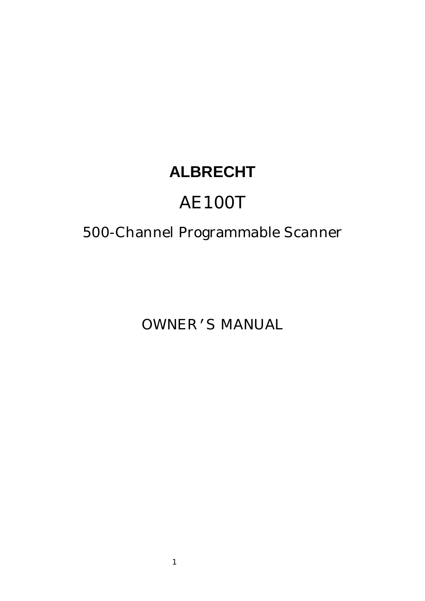# **ALBRECHT**

# AE100T

# 500-Channel Programmable Scanner

OWNER'S MANUAL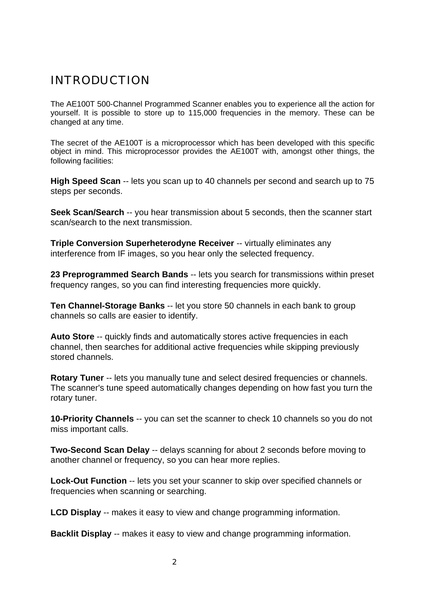# INTRODUCTION

The AE100T 500-Channel Programmed Scanner enables you to experience all the action for yourself. It is possible to store up to 115,000 frequencies in the memory. These can be changed at any time.

The secret of the AE100T is a microprocessor which has been developed with this specific object in mind. This microprocessor provides the AE100T with, amongst other things, the following facilities:

**High Speed Scan** -- lets you scan up to 40 channels per second and search up to 75 steps per seconds.

**Seek Scan/Search** -- you hear transmission about 5 seconds, then the scanner start scan/search to the next transmission.

**Triple Conversion Superheterodyne Receiver -- virtually eliminates any** interference from IF images, so you hear only the selected frequency.

**23 Preprogrammed Search Bands** -- lets you search for transmissions within preset frequency ranges, so you can find interesting frequencies more quickly.

**Ten Channel-Storage Banks** -- let you store 50 channels in each bank to group channels so calls are easier to identify.

**Auto Store** -- quickly finds and automatically stores active frequencies in each channel, then searches for additional active frequencies while skipping previously stored channels.

**Rotary Tuner** -- lets you manually tune and select desired frequencies or channels. The scanner's tune speed automatically changes depending on how fast you turn the rotary tuner.

**10-Priority Channels** -- you can set the scanner to check 10 channels so you do not miss important calls.

**Two-Second Scan Delay** -- delays scanning for about 2 seconds before moving to another channel or frequency, so you can hear more replies.

**Lock-Out Function** -- lets you set your scanner to skip over specified channels or frequencies when scanning or searching.

**LCD Display** -- makes it easy to view and change programming information.

**Backlit Display** -- makes it easy to view and change programming information.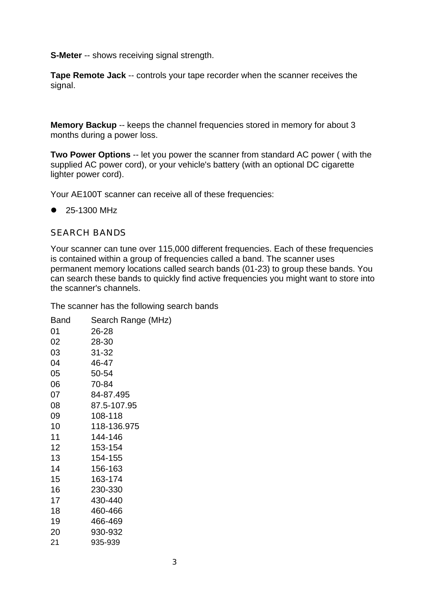**S-Meter** -- shows receiving signal strength.

**Tape Remote Jack** -- controls your tape recorder when the scanner receives the signal.

**Memory Backup** -- keeps the channel frequencies stored in memory for about 3 months during a power loss.

**Two Power Options** -- let you power the scanner from standard AC power ( with the supplied AC power cord), or your vehicle's battery (with an optional DC cigarette lighter power cord).

Your AE100T scanner can receive all of these frequencies:

 $\bullet$  25-1300 MHz

#### SEARCH BANDS

Your scanner can tune over 115,000 different frequencies. Each of these frequencies is contained within a group of frequencies called a band. The scanner uses permanent memory locations called search bands (01-23) to group these bands. You can search these bands to quickly find active frequencies you might want to store into the scanner's channels.

The scanner has the following search bands

| Band | Search Range (MHz) |
|------|--------------------|
| 01   | 26-28              |
| 02   | 28-30              |
| 03   | 31-32              |
| 04   | 46-47              |
| 05   | 50-54              |
| 06   | 70-84              |
| 07   | 84-87.495          |
| 08   | 87.5-107.95        |
| 09   | 108-118            |
| 10   | 118-136.975        |
| 11   | 144-146            |
| 12   | 153-154            |
| 13   | 154-155            |
| 14   | 156-163            |
| 15   | 163-174            |
| 16   | 230-330            |
| 17   | 430-440            |
| 18   | 460-466            |
| 19   | 466-469            |
| 20   | 930-932            |
| 21   | 935-939            |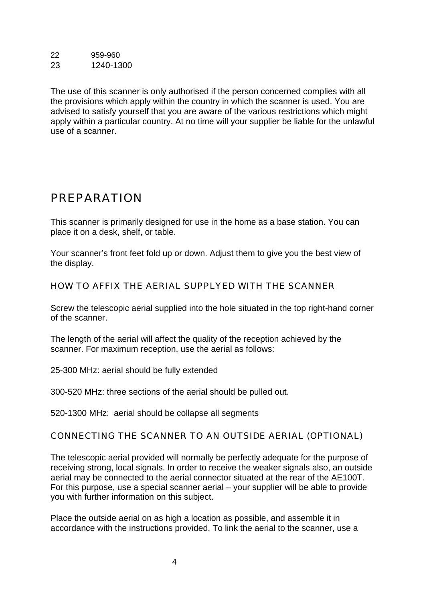22 959-960 23 1240-1300

The use of this scanner is only authorised if the person concerned complies with all the provisions which apply within the country in which the scanner is used. You are advised to satisfy yourself that you are aware of the various restrictions which might apply within a particular country. At no time will your supplier be liable for the unlawful use of a scanner.

# PREPARATION

This scanner is primarily designed for use in the home as a base station. You can place it on a desk, shelf, or table.

Your scanner's front feet fold up or down. Adjust them to give you the best view of the display.

HOW TO AFFIX THE AERIAL SUPPLYED WITH THE SCANNER

Screw the telescopic aerial supplied into the hole situated in the top right-hand corner of the scanner.

The length of the aerial will affect the quality of the reception achieved by the scanner. For maximum reception, use the aerial as follows:

25-300 MHz: aerial should be fully extended

300-520 MHz: three sections of the aerial should be pulled out.

520-1300 MHz: aerial should be collapse all segments

# CONNECTING THE SCANNER TO AN OUTSIDE AERIAL (OPTIONAL)

The telescopic aerial provided will normally be perfectly adequate for the purpose of receiving strong, local signals. In order to receive the weaker signals also, an outside aerial may be connected to the aerial connector situated at the rear of the AE100T. For this purpose, use a special scanner aerial – your supplier will be able to provide you with further information on this subject.

Place the outside aerial on as high a location as possible, and assemble it in accordance with the instructions provided. To link the aerial to the scanner, use a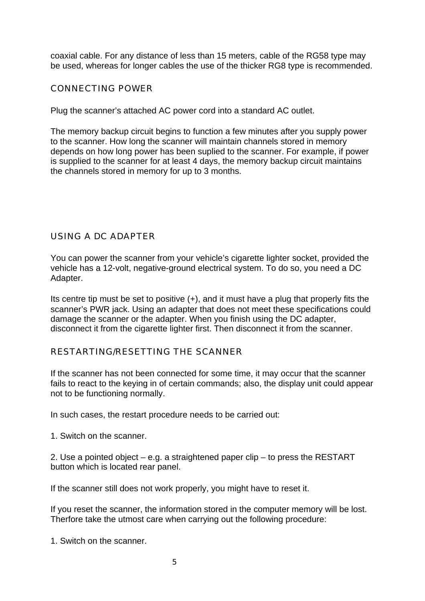coaxial cable. For any distance of less than 15 meters, cable of the RG58 type may be used, whereas for longer cables the use of the thicker RG8 type is recommended.

#### CONNECTING POWER

Plug the scanner's attached AC power cord into a standard AC outlet.

The memory backup circuit begins to function a few minutes after you supply power to the scanner. How long the scanner will maintain channels stored in memory depends on how long power has been suplied to the scanner. For example, if power is supplied to the scanner for at least 4 days, the memory backup circuit maintains the channels stored in memory for up to 3 months.

### USING A DC ADAPTER

You can power the scanner from your vehicle's cigarette lighter socket, provided the vehicle has a 12-volt, negative-ground electrical system. To do so, you need a DC Adapter.

Its centre tip must be set to positive (+), and it must have a plug that properly fits the scanner's PWR jack. Using an adapter that does not meet these specifications could damage the scanner or the adapter. When you finish using the DC adapter, disconnect it from the cigarette lighter first. Then disconnect it from the scanner.

#### RESTARTING/RESETTING THE SCANNER

If the scanner has not been connected for some time, it may occur that the scanner fails to react to the keying in of certain commands; also, the display unit could appear not to be functioning normally.

In such cases, the restart procedure needs to be carried out:

1. Switch on the scanner.

2. Use a pointed object – e.g. a straightened paper clip – to press the RESTART button which is located rear panel.

If the scanner still does not work properly, you might have to reset it.

If you reset the scanner, the information stored in the computer memory will be lost. Therfore take the utmost care when carrying out the following procedure:

1. Switch on the scanner.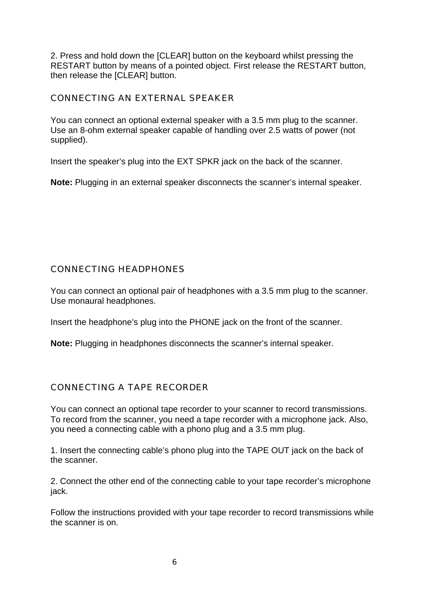2. Press and hold down the [CLEAR] button on the keyboard whilst pressing the RESTART button by means of a pointed object. First release the RESTART button, then release the [CLEAR] button.

#### CONNECTING AN EXTERNAL SPEAKER

You can connect an optional external speaker with a 3.5 mm plug to the scanner. Use an 8-ohm external speaker capable of handling over 2.5 watts of power (not supplied).

Insert the speaker's plug into the EXT SPKR jack on the back of the scanner.

**Note:** Plugging in an external speaker disconnects the scanner's internal speaker.

### CONNECTING HEADPHONES

You can connect an optional pair of headphones with a 3.5 mm plug to the scanner. Use monaural headphones.

Insert the headphone's plug into the PHONE jack on the front of the scanner.

**Note:** Plugging in headphones disconnects the scanner's internal speaker.

#### CONNECTING A TAPE RECORDER

You can connect an optional tape recorder to your scanner to record transmissions. To record from the scanner, you need a tape recorder with a microphone jack. Also, you need a connecting cable with a phono plug and a 3.5 mm plug.

1. Insert the connecting cable's phono plug into the TAPE OUT jack on the back of the scanner.

2. Connect the other end of the connecting cable to your tape recorder's microphone jack.

Follow the instructions provided with your tape recorder to record transmissions while the scanner is on.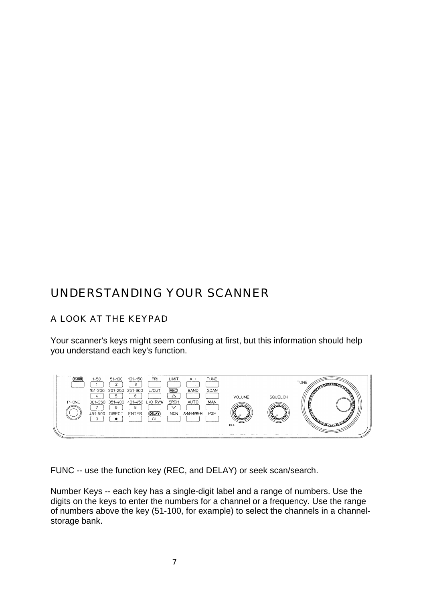# UNDERSTANDING YOUR SCANNER

# A LOOK AT THE KEYPAD

Your scanner's keys might seem confusing at first, but this information should help you understand each key's function.



FUNC -- use the function key (REC, and DELAY) or seek scan/search.

Number Keys -- each key has a single-digit label and a range of numbers. Use the digits on the keys to enter the numbers for a channel or a frequency. Use the range of numbers above the key (51-100, for example) to select the channels in a channelstorage bank.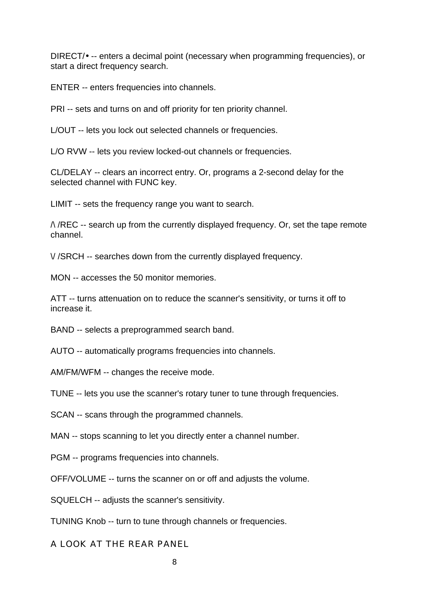DIRECT/• -- enters a decimal point (necessary when programming frequencies), or start a direct frequency search.

ENTER -- enters frequencies into channels.

PRI -- sets and turns on and off priority for ten priority channel.

L/OUT -- lets you lock out selected channels or frequencies.

L/O RVW -- lets you review locked-out channels or frequencies.

CL/DELAY -- clears an incorrect entry. Or, programs a 2-second delay for the selected channel with FUNC key.

LIMIT -- sets the frequency range you want to search.

 $\land$  /REC -- search up from the currently displayed frequency. Or, set the tape remote channel.

\/ /SRCH -- searches down from the currently displayed frequency.

MON -- accesses the 50 monitor memories.

ATT -- turns attenuation on to reduce the scanner's sensitivity, or turns it off to increase it.

BAND -- selects a preprogrammed search band.

AUTO -- automatically programs frequencies into channels.

AM/FM/WFM -- changes the receive mode.

TUNE -- lets you use the scanner's rotary tuner to tune through frequencies.

SCAN -- scans through the programmed channels.

MAN -- stops scanning to let you directly enter a channel number.

PGM -- programs frequencies into channels.

OFF/VOLUME -- turns the scanner on or off and adjusts the volume.

SQUELCH -- adjusts the scanner's sensitivity.

TUNING Knob -- turn to tune through channels or frequencies.

A LOOK AT THE REAR PANEL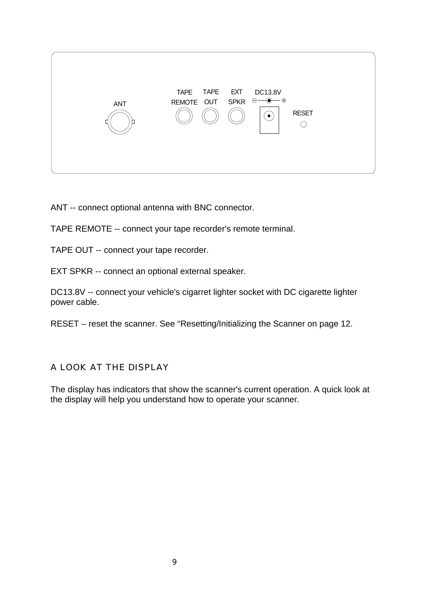

ANT -- connect optional antenna with BNC connector.

TAPE REMOTE -- connect your tape recorder's remote terminal.

TAPE OUT -- connect your tape recorder.

EXT SPKR -- connect an optional external speaker.

DC13.8V -- connect your vehicle's cigarret lighter socket with DC cigarette lighter power cable.

RESET – reset the scanner. See "Resetting/Initializing the Scanner on page 12.

A LOOK AT THE DISPLAY

The display has indicators that show the scanner's current operation. A quick look at the display will help you understand how to operate your scanner.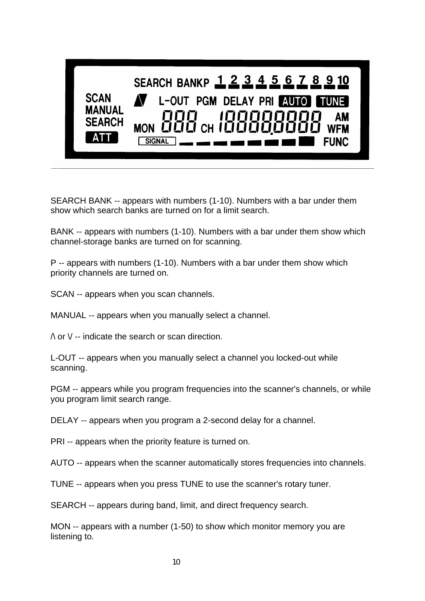

SEARCH BANK -- appears with numbers (1-10). Numbers with a bar under them show which search banks are turned on for a limit search.

BANK -- appears with numbers (1-10). Numbers with a bar under them show which channel-storage banks are turned on for scanning.

P -- appears with numbers (1-10). Numbers with a bar under them show which priority channels are turned on.

SCAN -- appears when you scan channels.

MANUAL -- appears when you manually select a channel.

 $\land$  or  $\lor$  -- indicate the search or scan direction.

L-OUT -- appears when you manually select a channel you locked-out while scanning.

PGM -- appears while you program frequencies into the scanner's channels, or while you program limit search range.

DELAY -- appears when you program a 2-second delay for a channel.

PRI -- appears when the priority feature is turned on.

AUTO -- appears when the scanner automatically stores frequencies into channels.

TUNE -- appears when you press TUNE to use the scanner's rotary tuner.

SEARCH -- appears during band, limit, and direct frequency search.

MON -- appears with a number (1-50) to show which monitor memory you are listening to.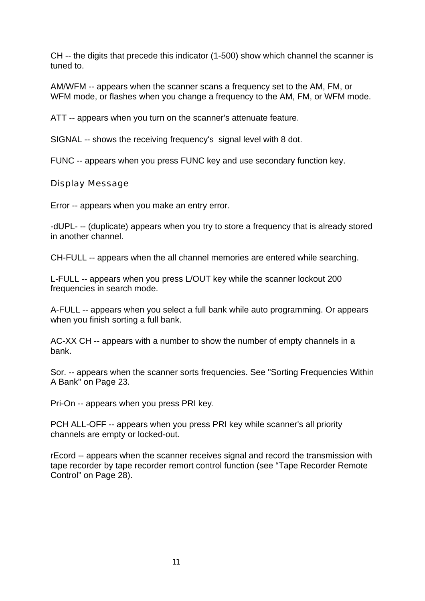CH -- the digits that precede this indicator (1-500) show which channel the scanner is tuned to.

AM/WFM -- appears when the scanner scans a frequency set to the AM, FM, or WFM mode, or flashes when you change a frequency to the AM, FM, or WFM mode.

ATT -- appears when you turn on the scanner's attenuate feature.

SIGNAL -- shows the receiving frequency's signal level with 8 dot.

FUNC -- appears when you press FUNC key and use secondary function key.

Display Message

Error -- appears when you make an entry error.

-dUPL- -- (duplicate) appears when you try to store a frequency that is already stored in another channel.

CH-FULL -- appears when the all channel memories are entered while searching.

L-FULL -- appears when you press L/OUT key while the scanner lockout 200 frequencies in search mode.

A-FULL -- appears when you select a full bank while auto programming. Or appears when you finish sorting a full bank.

AC-XX CH -- appears with a number to show the number of empty channels in a bank.

Sor. -- appears when the scanner sorts frequencies. See "Sorting Frequencies Within A Bank" on Page 23.

Pri-On -- appears when you press PRI key.

PCH ALL-OFF -- appears when you press PRI key while scanner's all priority channels are empty or locked-out.

rEcord -- appears when the scanner receives signal and record the transmission with tape recorder by tape recorder remort control function (see "Tape Recorder Remote Control" on Page 28).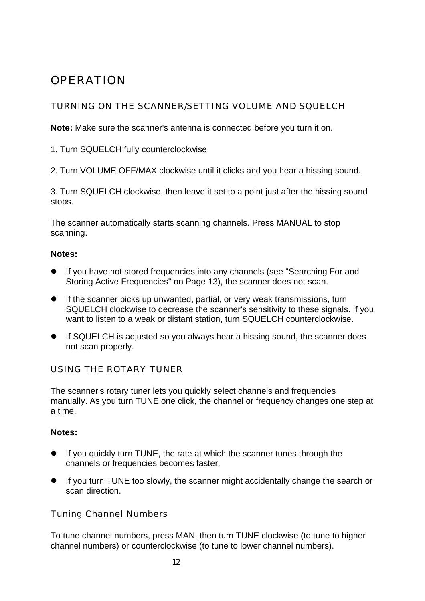# **OPERATION**

# TURNING ON THE SCANNER/SETTING VOLUME AND SQUELCH

**Note:** Make sure the scanner's antenna is connected before you turn it on.

1. Turn SQUELCH fully counterclockwise.

2. Turn VOLUME OFF/MAX clockwise until it clicks and you hear a hissing sound.

3. Turn SQUELCH clockwise, then leave it set to a point just after the hissing sound stops.

The scanner automatically starts scanning channels. Press MANUAL to stop scanning.

#### **Notes:**

- **•** If you have not stored frequencies into any channels (see "Searching For and Storing Active Frequencies" on Page 13), the scanner does not scan.
- **If the scanner picks up unwanted, partial, or very weak transmissions, turn** SQUELCH clockwise to decrease the scanner's sensitivity to these signals. If you want to listen to a weak or distant station, turn SQUELCH counterclockwise.
- **If SQUELCH is adjusted so you always hear a hissing sound, the scanner does** not scan properly.

# USING THE ROTARY TUNER

The scanner's rotary tuner lets you quickly select channels and frequencies manually. As you turn TUNE one click, the channel or frequency changes one step at a time.

# **Notes:**

- If you quickly turn TUNE, the rate at which the scanner tunes through the channels or frequencies becomes faster.
- **If you turn TUNE too slowly, the scanner might accidentally change the search or** scan direction.

# Tuning Channel Numbers

To tune channel numbers, press MAN, then turn TUNE clockwise (to tune to higher channel numbers) or counterclockwise (to tune to lower channel numbers).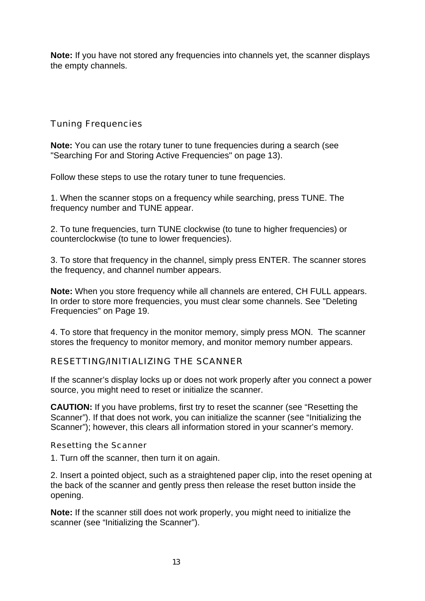**Note:** If you have not stored any frequencies into channels yet, the scanner displays the empty channels.

Tuning Frequencies

**Note:** You can use the rotary tuner to tune frequencies during a search (see "Searching For and Storing Active Frequencies" on page 13).

Follow these steps to use the rotary tuner to tune frequencies.

1. When the scanner stops on a frequency while searching, press TUNE. The frequency number and TUNE appear.

2. To tune frequencies, turn TUNE clockwise (to tune to higher frequencies) or counterclockwise (to tune to lower frequencies).

3. To store that frequency in the channel, simply press ENTER. The scanner stores the frequency, and channel number appears.

**Note:** When you store frequency while all channels are entered, CH FULL appears. In order to store more frequencies, you must clear some channels. See "Deleting Frequencies" on Page 19.

4. To store that frequency in the monitor memory, simply press MON. The scanner stores the frequency to monitor memory, and monitor memory number appears.

# RESETTING/INITIALIZING THE SCANNER

If the scanner's display locks up or does not work properly after you connect a power source, you might need to reset or initialize the scanner.

**CAUTION:** If you have problems, first try to reset the scanner (see "Resetting the Scanner"). If that does not work, you can initialize the scanner (see "Initializing the Scanner"); however, this clears all information stored in your scanner's memory.

Resetting the Scanner

1. Turn off the scanner, then turn it on again.

2. Insert a pointed object, such as a straightened paper clip, into the reset opening at the back of the scanner and gently press then release the reset button inside the opening.

**Note:** If the scanner still does not work properly, you might need to initialize the scanner (see "Initializing the Scanner").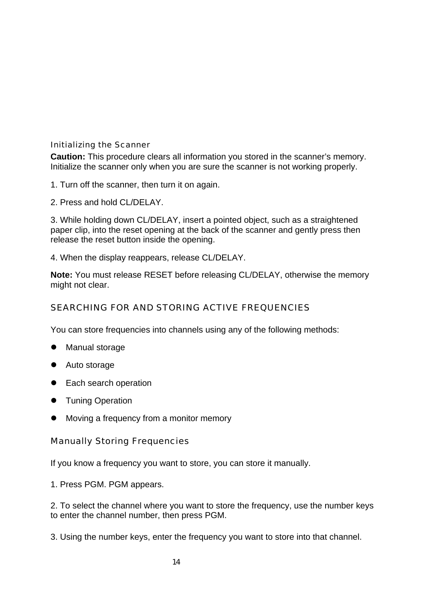### Initializing the Scanner

**Caution:** This procedure clears all information you stored in the scanner's memory. Initialize the scanner only when you are sure the scanner is not working properly.

1. Turn off the scanner, then turn it on again.

2. Press and hold CL/DELAY.

3. While holding down CL/DELAY, insert a pointed object, such as a straightened paper clip, into the reset opening at the back of the scanner and gently press then release the reset button inside the opening.

4. When the display reappears, release CL/DELAY.

**Note:** You must release RESET before releasing CL/DELAY, otherwise the memory might not clear.

# SEARCHING FOR AND STORING ACTIVE FREQUENCIES

You can store frequencies into channels using any of the following methods:

- **•** Manual storage
- Auto storage
- **•** Each search operation
- **Tuning Operation**
- Moving a frequency from a monitor memory

Manually Storing Frequencies

If you know a frequency you want to store, you can store it manually.

1. Press PGM. PGM appears.

2. To select the channel where you want to store the frequency, use the number keys to enter the channel number, then press PGM.

3. Using the number keys, enter the frequency you want to store into that channel.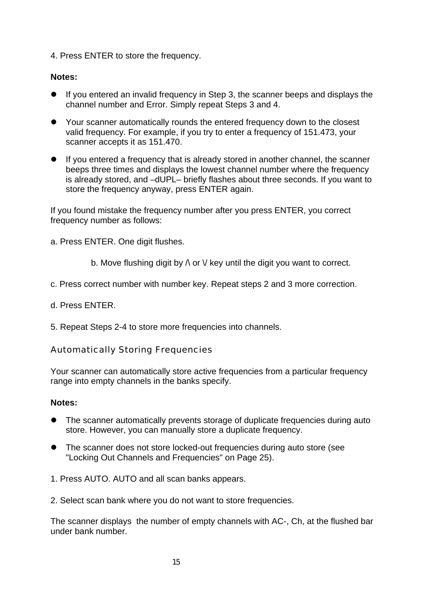4. Press ENTER to store the frequency.

# **Notes:**

- If you entered an invalid frequency in Step 3, the scanner beeps and displays the channel number and Error. Simply repeat Steps 3 and 4.
- Your scanner automatically rounds the entered frequency down to the closest valid frequency. For example, if you try to enter a frequency of 151.473, your scanner accepts it as 151.470.
- $\bullet$  If you entered a frequency that is already stored in another channel, the scanner beeps three times and displays the lowest channel number where the frequency is already stored, and –dUPL– briefly flashes about three seconds. If you want to store the frequency anyway, press ENTER again.

If you found mistake the frequency number after you press ENTER, you correct frequency number as follows:

a. Press ENTER. One digit flushes.

- b. Move flushing digit by  $\wedge$  or  $\vee$  key until the digit you want to correct.
- c. Press correct number with number key. Repeat steps 2 and 3 more correction.
- d. Press ENTER.
- 5. Repeat Steps 2-4 to store more frequencies into channels.

Automatically Storing Frequencies

Your scanner can automatically store active frequencies from a particular frequency range into empty channels in the banks specify.

#### **Notes:**

- The scanner automatically prevents storage of duplicate frequencies during auto store. However, you can manually store a duplicate frequency.
- The scanner does not store locked-out frequencies during auto store (see "Locking Out Channels and Frequencies" on Page 25).
- 1. Press AUTO. AUTO and all scan banks appears.
- 2. Select scan bank where you do not want to store frequencies.

The scanner displays the number of empty channels with AC-, Ch, at the flushed bar under bank number.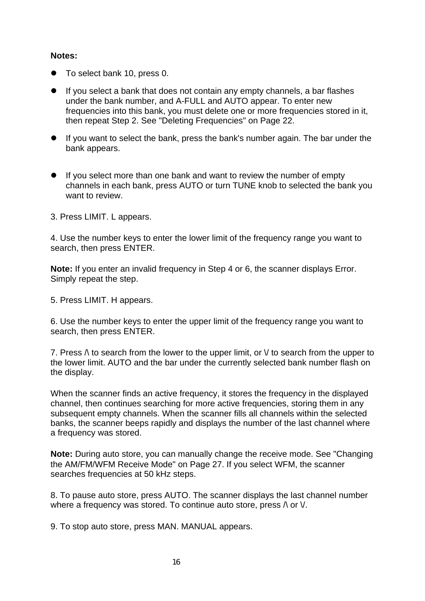#### **Notes:**

- To select bank 10, press 0.
- If you select a bank that does not contain any empty channels, a bar flashes under the bank number, and A-FULL and AUTO appear. To enter new frequencies into this bank, you must delete one or more frequencies stored in it, then repeat Step 2. See "Deleting Frequencies" on Page 22.
- If you want to select the bank, press the bank's number again. The bar under the bank appears.
- $\bullet$  If you select more than one bank and want to review the number of empty channels in each bank, press AUTO or turn TUNE knob to selected the bank you want to review.
- 3. Press LIMIT. L appears.

4. Use the number keys to enter the lower limit of the frequency range you want to search, then press ENTER.

**Note:** If you enter an invalid frequency in Step 4 or 6, the scanner displays Error. Simply repeat the step.

5. Press LIMIT. H appears.

6. Use the number keys to enter the upper limit of the frequency range you want to search, then press ENTER.

7. Press  $\wedge$  to search from the lower to the upper limit, or  $\vee$  to search from the upper to the lower limit. AUTO and the bar under the currently selected bank number flash on the display.

When the scanner finds an active frequency, it stores the frequency in the displayed channel, then continues searching for more active frequencies, storing them in any subsequent empty channels. When the scanner fills all channels within the selected banks, the scanner beeps rapidly and displays the number of the last channel where a frequency was stored.

**Note:** During auto store, you can manually change the receive mode. See "Changing the AM/FM/WFM Receive Mode" on Page 27. If you select WFM, the scanner searches frequencies at 50 kHz steps.

8. To pause auto store, press AUTO. The scanner displays the last channel number where a frequency was stored. To continue auto store, press  $\wedge$  or  $\vee$ .

9. To stop auto store, press MAN. MANUAL appears.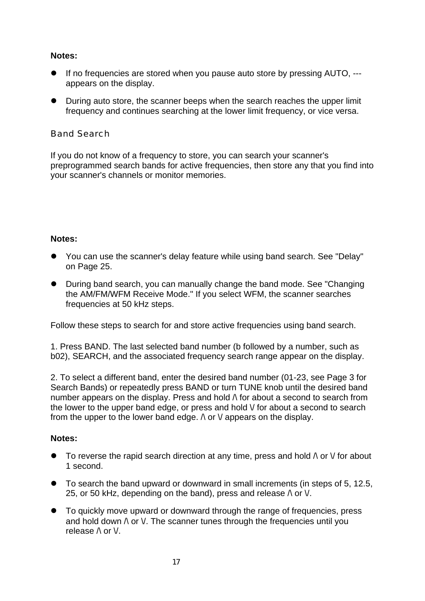### **Notes:**

- If no frequencies are stored when you pause auto store by pressing AUTO, --appears on the display.
- During auto store, the scanner beeps when the search reaches the upper limit frequency and continues searching at the lower limit frequency, or vice versa.

### Band Search

If you do not know of a frequency to store, you can search your scanner's preprogrammed search bands for active frequencies, then store any that you find into your scanner's channels or monitor memories.

#### **Notes:**

- You can use the scanner's delay feature while using band search. See "Delay" on Page 25.
- During band search, you can manually change the band mode. See "Changing" the AM/FM/WFM Receive Mode." If you select WFM, the scanner searches frequencies at 50 kHz steps.

Follow these steps to search for and store active frequencies using band search.

1. Press BAND. The last selected band number (b followed by a number, such as b02), SEARCH, and the associated frequency search range appear on the display.

2. To select a different band, enter the desired band number (01-23, see Page 3 for Search Bands) or repeatedly press BAND or turn TUNE knob until the desired band number appears on the display. Press and hold  $\wedge$  for about a second to search from the lower to the upper band edge, or press and hold  $\vee$  for about a second to search from the upper to the lower band edge.  $\wedge$  or  $\vee$  appears on the display.

# **Notes:**

- $\bullet$  To reverse the rapid search direction at any time, press and hold  $\wedge$  or  $\vee$  for about 1 second.
- $\bullet$  To search the band upward or downward in small increments (in steps of 5, 12.5, 25, or 50 kHz, depending on the band), press and release  $\wedge$  or  $\vee$ .
- To quickly move upward or downward through the range of frequencies, press and hold down  $\wedge$  or V. The scanner tunes through the frequencies until you release  $\wedge$  or  $\vee$ .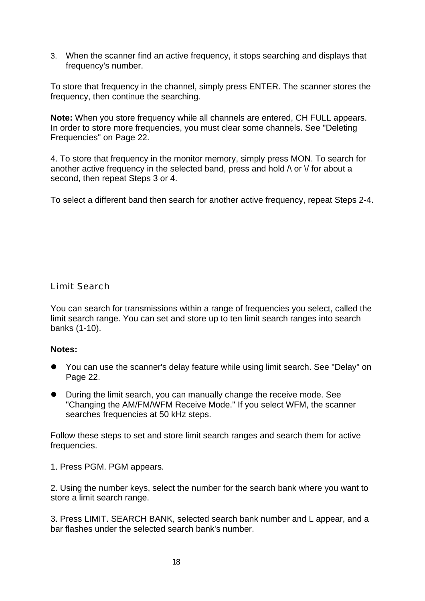3. When the scanner find an active frequency, it stops searching and displays that frequency's number.

To store that frequency in the channel, simply press ENTER. The scanner stores the frequency, then continue the searching.

**Note:** When you store frequency while all channels are entered, CH FULL appears. In order to store more frequencies, you must clear some channels. See "Deleting Frequencies" on Page 22.

4. To store that frequency in the monitor memory, simply press MON. To search for another active frequency in the selected band, press and hold  $\wedge$  or  $\vee$  for about a second, then repeat Steps 3 or 4.

To select a different band then search for another active frequency, repeat Steps 2-4.

Limit Search

You can search for transmissions within a range of frequencies you select, called the limit search range. You can set and store up to ten limit search ranges into search banks (1-10).

#### **Notes:**

- You can use the scanner's delay feature while using limit search. See "Delay" on Page 22.
- l During the limit search, you can manually change the receive mode. See "Changing the AM/FM/WFM Receive Mode." If you select WFM, the scanner searches frequencies at 50 kHz steps.

Follow these steps to set and store limit search ranges and search them for active frequencies.

1. Press PGM. PGM appears.

2. Using the number keys, select the number for the search bank where you want to store a limit search range.

3. Press LIMIT. SEARCH BANK, selected search bank number and L appear, and a bar flashes under the selected search bank's number.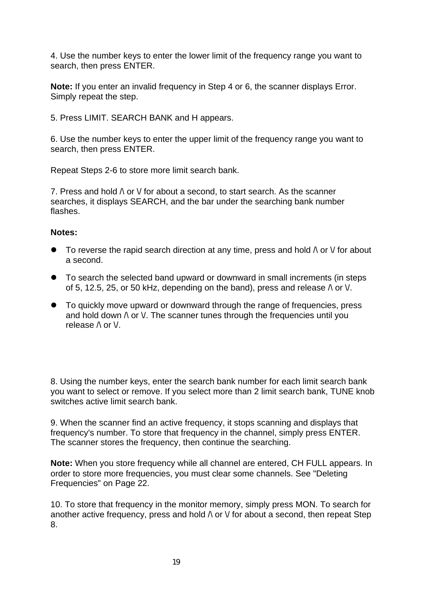4. Use the number keys to enter the lower limit of the frequency range you want to search, then press ENTER.

**Note:** If you enter an invalid frequency in Step 4 or 6, the scanner displays Error. Simply repeat the step.

5. Press LIMIT. SEARCH BANK and H appears.

6. Use the number keys to enter the upper limit of the frequency range you want to search, then press ENTER.

Repeat Steps 2-6 to store more limit search bank.

7. Press and hold  $\wedge$  or  $\vee$  for about a second, to start search. As the scanner searches, it displays SEARCH, and the bar under the searching bank number flashes.

#### **Notes:**

- **To reverse the rapid search direction at any time, press and hold**  $\wedge$  **or**  $\vee$  **for about** a second.
- To search the selected band upward or downward in small increments (in steps of 5, 12.5, 25, or 50 kHz, depending on the band), press and release  $\wedge$  or  $\vee$ .
- To quickly move upward or downward through the range of frequencies, press and hold down  $\wedge$  or  $\vee$ . The scanner tunes through the frequencies until you release  $\wedge$  or  $\vee$ .

8. Using the number keys, enter the search bank number for each limit search bank you want to select or remove. If you select more than 2 limit search bank, TUNE knob switches active limit search bank.

9. When the scanner find an active frequency, it stops scanning and displays that frequency's number. To store that frequency in the channel, simply press ENTER. The scanner stores the frequency, then continue the searching.

**Note:** When you store frequency while all channel are entered, CH FULL appears. In order to store more frequencies, you must clear some channels. See "Deleting Frequencies" on Page 22.

10. To store that frequency in the monitor memory, simply press MON. To search for another active frequency, press and hold  $\wedge$  or  $\vee$  for about a second, then repeat Step 8.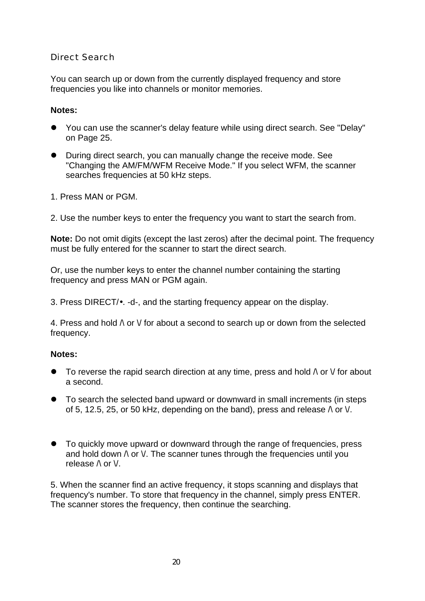## Direct Search

You can search up or down from the currently displayed frequency and store frequencies you like into channels or monitor memories.

#### **Notes:**

- You can use the scanner's delay feature while using direct search. See "Delay" on Page 25.
- During direct search, you can manually change the receive mode. See "Changing the AM/FM/WFM Receive Mode." If you select WFM, the scanner searches frequencies at 50 kHz steps.
- 1. Press MAN or PGM.
- 2. Use the number keys to enter the frequency you want to start the search from.

**Note:** Do not omit digits (except the last zeros) after the decimal point. The frequency must be fully entered for the scanner to start the direct search.

Or, use the number keys to enter the channel number containing the starting frequency and press MAN or PGM again.

3. Press DIRECT/•. -d-, and the starting frequency appear on the display.

4. Press and hold  $\wedge$  or  $\vee$  for about a second to search up or down from the selected frequency.

#### **Notes:**

- To reverse the rapid search direction at any time, press and hold  $\wedge$  or  $\vee$  for about a second.
- To search the selected band upward or downward in small increments (in steps of 5, 12.5, 25, or 50 kHz, depending on the band), press and release  $\wedge$  or  $\vee$ .
- To quickly move upward or downward through the range of frequencies, press and hold down  $\wedge$  or  $\vee$ . The scanner tunes through the frequencies until you release  $\wedge$  or  $\vee$ .

5. When the scanner find an active frequency, it stops scanning and displays that frequency's number. To store that frequency in the channel, simply press ENTER. The scanner stores the frequency, then continue the searching.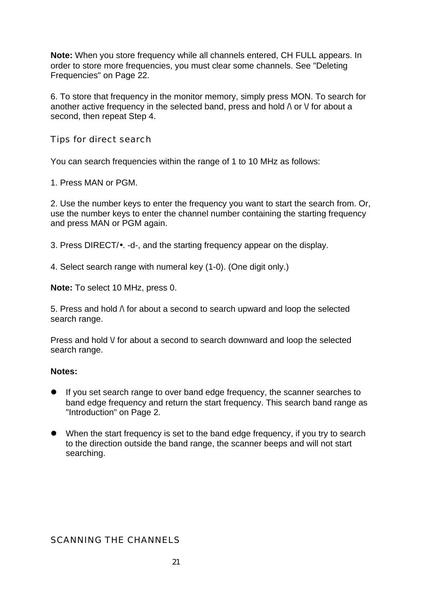**Note:** When you store frequency while all channels entered, CH FULL appears. In order to store more frequencies, you must clear some channels. See "Deleting Frequencies" on Page 22.

6. To store that frequency in the monitor memory, simply press MON. To search for another active frequency in the selected band, press and hold  $\wedge$  or  $\vee$  for about a second, then repeat Step 4.

Tips for direct search

You can search frequencies within the range of 1 to 10 MHz as follows:

1. Press MAN or PGM.

2. Use the number keys to enter the frequency you want to start the search from. Or, use the number keys to enter the channel number containing the starting frequency and press MAN or PGM again.

3. Press DIRECT/•. -d-, and the starting frequency appear on the display.

4. Select search range with numeral key (1-0). (One digit only.)

**Note:** To select 10 MHz, press 0.

5. Press and hold  $\wedge$  for about a second to search upward and loop the selected search range.

Press and hold  $\vee$  for about a second to search downward and loop the selected search range.

#### **Notes:**

- If you set search range to over band edge frequency, the scanner searches to band edge frequency and return the start frequency. This search band range as "Introduction" on Page 2.
- When the start frequency is set to the band edge frequency, if you try to search to the direction outside the band range, the scanner beeps and will not start searching.

#### SCANNING THE CHANNELS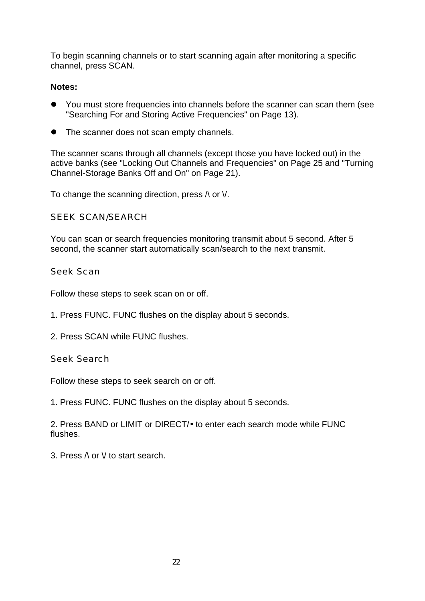To begin scanning channels or to start scanning again after monitoring a specific channel, press SCAN.

## **Notes:**

- l You must store frequencies into channels before the scanner can scan them (see "Searching For and Storing Active Frequencies" on Page 13).
- The scanner does not scan empty channels.

The scanner scans through all channels (except those you have locked out) in the active banks (see "Locking Out Channels and Frequencies" on Page 25 and "Turning Channel-Storage Banks Off and On" on Page 21).

To change the scanning direction, press  $\wedge$  or  $\vee$ .

SEEK SCAN/SEARCH

You can scan or search frequencies monitoring transmit about 5 second. After 5 second, the scanner start automatically scan/search to the next transmit.

Seek Scan

Follow these steps to seek scan on or off.

- 1. Press FUNC. FUNC flushes on the display about 5 seconds.
- 2. Press SCAN while FUNC flushes.

Seek Search

Follow these steps to seek search on or off.

1. Press FUNC. FUNC flushes on the display about 5 seconds.

2. Press BAND or LIMIT or DIRECT/• to enter each search mode while FUNC flushes.

3. Press  $\wedge$  or  $\vee$  to start search.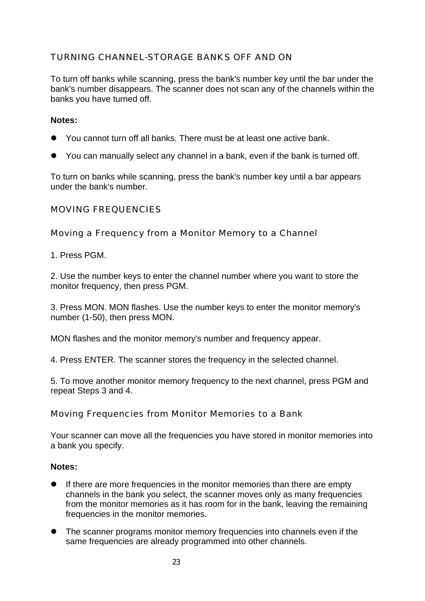# TURNING CHANNEL-STORAGE BANKS OFF AND ON

To turn off banks while scanning, press the bank's number key until the bar under the bank's number disappears. The scanner does not scan any of the channels within the banks you have turned off.

#### **Notes:**

- l You cannot turn off all banks. There must be at least one active bank.
- $\bullet$  You can manually select any channel in a bank, even if the bank is turned off.

To turn on banks while scanning, press the bank's number key until a bar appears under the bank's number.

### MOVING FREQUENCIES

Moving a Frequency from a Monitor Memory to a Channel

1. Press PGM.

2. Use the number keys to enter the channel number where you want to store the monitor frequency, then press PGM.

3. Press MON. MON flashes. Use the number keys to enter the monitor memory's number (1-50), then press MON.

MON flashes and the monitor memory's number and frequency appear.

4. Press ENTER. The scanner stores the frequency in the selected channel.

5. To move another monitor memory frequency to the next channel, press PGM and repeat Steps 3 and 4.

Moving Frequencies from Monitor Memories to a Bank

Your scanner can move all the frequencies you have stored in monitor memories into a bank you specify.

#### **Notes:**

- If there are more frequencies in the monitor memories than there are empty channels in the bank you select, the scanner moves only as many frequencies from the monitor memories as it has room for in the bank, leaving the remaining frequencies in the monitor memories.
- The scanner programs monitor memory frequencies into channels even if the same frequencies are already programmed into other channels.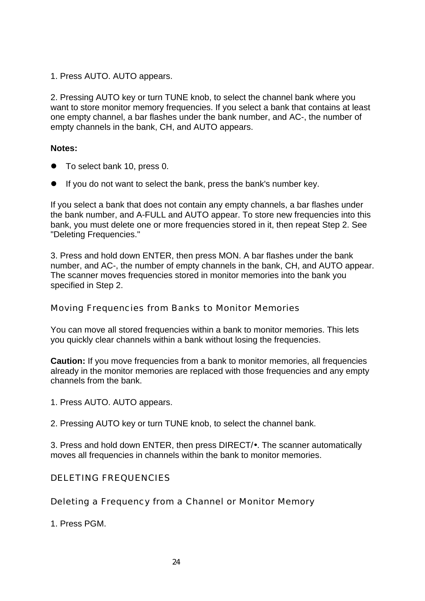1. Press AUTO. AUTO appears.

2. Pressing AUTO key or turn TUNE knob, to select the channel bank where you want to store monitor memory frequencies. If you select a bank that contains at least one empty channel, a bar flashes under the bank number, and AC-, the number of empty channels in the bank, CH, and AUTO appears.

#### **Notes:**

- $\bullet$  To select bank 10, press 0.
- $\bullet$  If you do not want to select the bank, press the bank's number key.

If you select a bank that does not contain any empty channels, a bar flashes under the bank number, and A-FULL and AUTO appear. To store new frequencies into this bank, you must delete one or more frequencies stored in it, then repeat Step 2. See "Deleting Frequencies."

3. Press and hold down ENTER, then press MON. A bar flashes under the bank number, and AC-, the number of empty channels in the bank, CH, and AUTO appear. The scanner moves frequencies stored in monitor memories into the bank you specified in Step 2.

Moving Frequencies from Banks to Monitor Memories

You can move all stored frequencies within a bank to monitor memories. This lets you quickly clear channels within a bank without losing the frequencies.

**Caution:** If you move frequencies from a bank to monitor memories, all frequencies already in the monitor memories are replaced with those frequencies and any empty channels from the bank.

1. Press AUTO. AUTO appears.

2. Pressing AUTO key or turn TUNE knob, to select the channel bank.

3. Press and hold down ENTER, then press DIRECT/•. The scanner automatically moves all frequencies in channels within the bank to monitor memories.

#### DELETING FREQUENCIES

Deleting a Frequency from a Channel or Monitor Memory

1. Press PGM.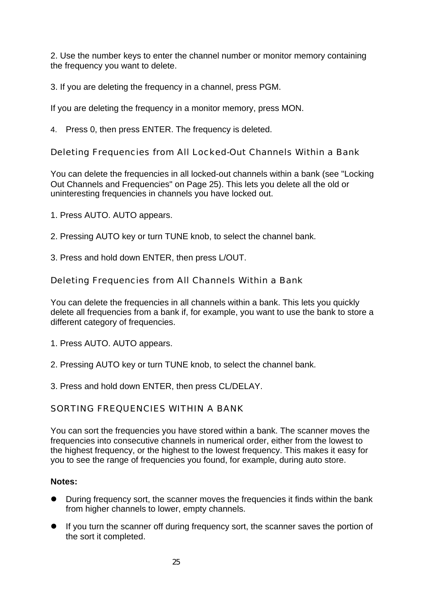2. Use the number keys to enter the channel number or monitor memory containing the frequency you want to delete.

3. If you are deleting the frequency in a channel, press PGM.

If you are deleting the frequency in a monitor memory, press MON.

4. Press 0, then press ENTER. The frequency is deleted.

Deleting Frequencies from All Locked-Out Channels Within a Bank

You can delete the frequencies in all locked-out channels within a bank (see "Locking Out Channels and Frequencies" on Page 25). This lets you delete all the old or uninteresting frequencies in channels you have locked out.

1. Press AUTO. AUTO appears.

2. Pressing AUTO key or turn TUNE knob, to select the channel bank.

3. Press and hold down ENTER, then press L/OUT.

Deleting Frequencies from All Channels Within a Bank

You can delete the frequencies in all channels within a bank. This lets you quickly delete all frequencies from a bank if, for example, you want to use the bank to store a different category of frequencies.

1. Press AUTO. AUTO appears.

2. Pressing AUTO key or turn TUNE knob, to select the channel bank.

3. Press and hold down ENTER, then press CL/DELAY.

SORTING FREQUENCIES WITHIN A BANK

You can sort the frequencies you have stored within a bank. The scanner moves the frequencies into consecutive channels in numerical order, either from the lowest to the highest frequency, or the highest to the lowest frequency. This makes it easy for you to see the range of frequencies you found, for example, during auto store.

# **Notes:**

- During frequency sort, the scanner moves the frequencies it finds within the bank from higher channels to lower, empty channels.
- If you turn the scanner off during frequency sort, the scanner saves the portion of the sort it completed.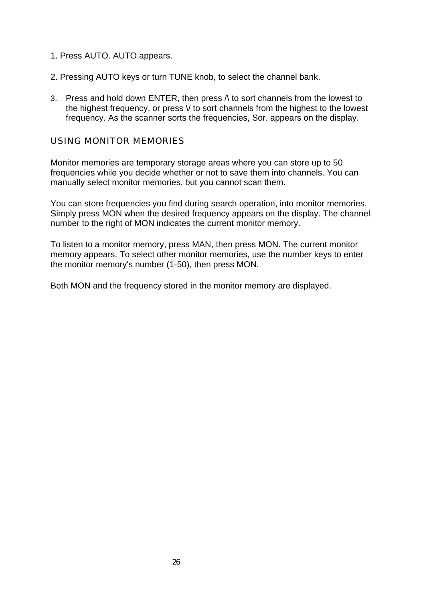- 1. Press AUTO. AUTO appears.
- 2. Pressing AUTO keys or turn TUNE knob, to select the channel bank.
- 3. Press and hold down ENTER, then press  $\wedge$  to sort channels from the lowest to the highest frequency, or press  $\vee$  to sort channels from the highest to the lowest frequency. As the scanner sorts the frequencies, Sor. appears on the display.

#### USING MONITOR MEMORIES

Monitor memories are temporary storage areas where you can store up to 50 frequencies while you decide whether or not to save them into channels. You can manually select monitor memories, but you cannot scan them.

You can store frequencies you find during search operation, into monitor memories. Simply press MON when the desired frequency appears on the display. The channel number to the right of MON indicates the current monitor memory.

To listen to a monitor memory, press MAN, then press MON. The current monitor memory appears. To select other monitor memories, use the number keys to enter the monitor memory's number (1-50), then press MON.

Both MON and the frequency stored in the monitor memory are displayed.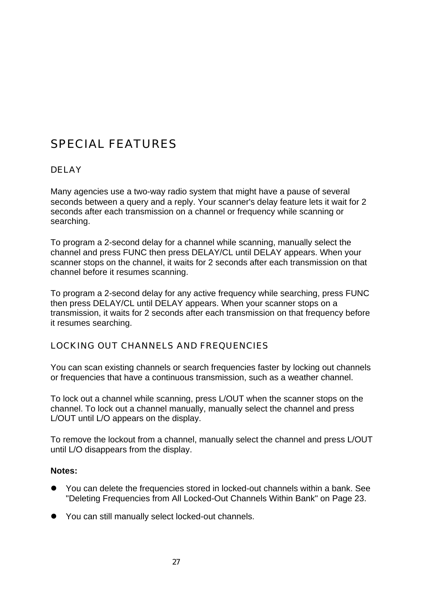# SPECIAL FEATURES

# DELAY

Many agencies use a two-way radio system that might have a pause of several seconds between a query and a reply. Your scanner's delay feature lets it wait for 2 seconds after each transmission on a channel or frequency while scanning or searching.

To program a 2-second delay for a channel while scanning, manually select the channel and press FUNC then press DELAY/CL until DELAY appears. When your scanner stops on the channel, it waits for 2 seconds after each transmission on that channel before it resumes scanning.

To program a 2-second delay for any active frequency while searching, press FUNC then press DELAY/CL until DELAY appears. When your scanner stops on a transmission, it waits for 2 seconds after each transmission on that frequency before it resumes searching.

# LOCKING OUT CHANNELS AND FREQUENCIES

You can scan existing channels or search frequencies faster by locking out channels or frequencies that have a continuous transmission, such as a weather channel.

To lock out a channel while scanning, press L/OUT when the scanner stops on the channel. To lock out a channel manually, manually select the channel and press L/OUT until L/O appears on the display.

To remove the lockout from a channel, manually select the channel and press L/OUT until L/O disappears from the display.

#### **Notes:**

- $\bullet$  You can delete the frequencies stored in locked-out channels within a bank. See "Deleting Frequencies from All Locked-Out Channels Within Bank" on Page 23.
- You can still manually select locked-out channels.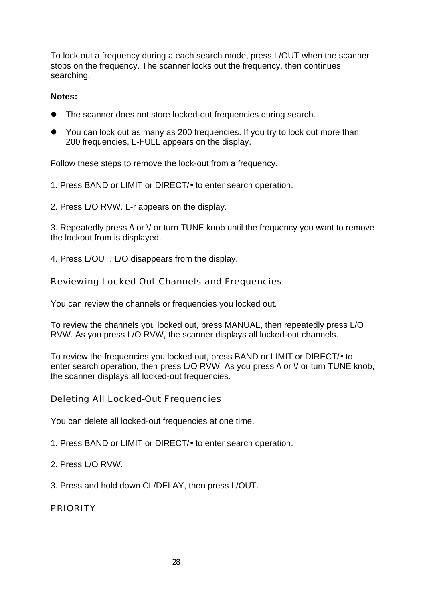To lock out a frequency during a each search mode, press L/OUT when the scanner stops on the frequency. The scanner locks out the frequency, then continues searching.

### **Notes:**

- The scanner does not store locked-out frequencies during search.
- $\bullet$  You can lock out as many as 200 frequencies. If you try to lock out more than 200 frequencies, L-FULL appears on the display.

Follow these steps to remove the lock-out from a frequency.

1. Press BAND or LIMIT or DIRECT/• to enter search operation.

2. Press L/O RVW. L-r appears on the display.

3. Repeatedly press  $\wedge$  or  $\vee$  or turn TUNE knob until the frequency you want to remove the lockout from is displayed.

4. Press L/OUT. L/O disappears from the display.

Reviewing Locked-Out Channels and Frequencies

You can review the channels or frequencies you locked out.

To review the channels you locked out, press MANUAL, then repeatedly press L/O RVW. As you press L/O RVW, the scanner displays all locked-out channels.

To review the frequencies you locked out, press BAND or LIMIT or DIRECT/• to enter search operation, then press L/O RVW. As you press  $\wedge$  or  $\vee$  or turn TUNE knob, the scanner displays all locked-out frequencies.

Deleting All Locked-Out Frequencies

You can delete all locked-out frequencies at one time.

1. Press BAND or LIMIT or DIRECT/• to enter search operation.

- 2. Press L/O RVW.
- 3. Press and hold down CL/DELAY, then press L/OUT.

PRIORITY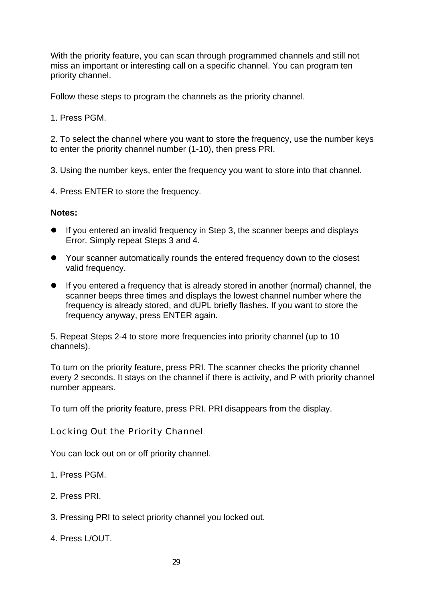With the priority feature, you can scan through programmed channels and still not miss an important or interesting call on a specific channel. You can program ten priority channel.

Follow these steps to program the channels as the priority channel.

1. Press PGM.

2. To select the channel where you want to store the frequency, use the number keys to enter the priority channel number (1-10), then press PRI.

3. Using the number keys, enter the frequency you want to store into that channel.

4. Press ENTER to store the frequency.

#### **Notes:**

- If you entered an invalid frequency in Step 3, the scanner beeps and displays Error. Simply repeat Steps 3 and 4.
- Your scanner automatically rounds the entered frequency down to the closest valid frequency.
- $\bullet$  If you entered a frequency that is already stored in another (normal) channel, the scanner beeps three times and displays the lowest channel number where the frequency is already stored, and dUPL briefly flashes. If you want to store the frequency anyway, press ENTER again.

5. Repeat Steps 2-4 to store more frequencies into priority channel (up to 10 channels).

To turn on the priority feature, press PRI. The scanner checks the priority channel every 2 seconds. It stays on the channel if there is activity, and P with priority channel number appears.

To turn off the priority feature, press PRI. PRI disappears from the display.

Locking Out the Priority Channel

You can lock out on or off priority channel.

1. Press PGM.

- 2. Press PRI.
- 3. Pressing PRI to select priority channel you locked out.
- 4. Press L/OUT.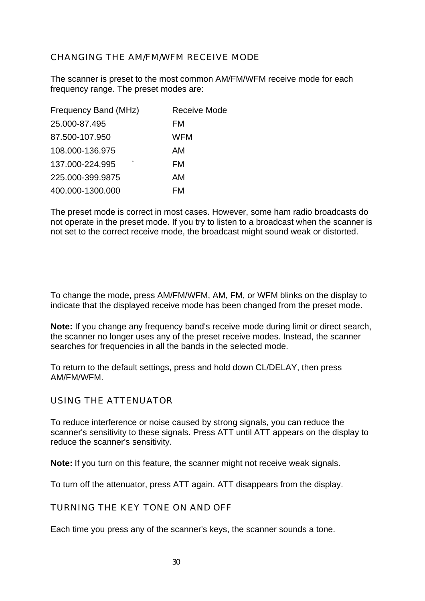## CHANGING THE AM/FM/WFM RECEIVE MODE

The scanner is preset to the most common AM/FM/WFM receive mode for each frequency range. The preset modes are:

| Frequency Band (MHz) | Receive Mode |
|----------------------|--------------|
| 25.000-87.495        | FM           |
| 87.500-107.950       | <b>WFM</b>   |
| 108.000-136.975      | AM           |
| ◥<br>137.000-224.995 | FM           |
| 225.000-399.9875     | AM           |
| 400.000-1300.000     | FM           |

The preset mode is correct in most cases. However, some ham radio broadcasts do not operate in the preset mode. If you try to listen to a broadcast when the scanner is not set to the correct receive mode, the broadcast might sound weak or distorted.

To change the mode, press AM/FM/WFM, AM, FM, or WFM blinks on the display to indicate that the displayed receive mode has been changed from the preset mode.

**Note:** If you change any frequency band's receive mode during limit or direct search, the scanner no longer uses any of the preset receive modes. Instead, the scanner searches for frequencies in all the bands in the selected mode.

To return to the default settings, press and hold down CL/DELAY, then press AM/FM/WFM.

#### USING THE ATTENUATOR

To reduce interference or noise caused by strong signals, you can reduce the scanner's sensitivity to these signals. Press ATT until ATT appears on the display to reduce the scanner's sensitivity.

**Note:** If you turn on this feature, the scanner might not receive weak signals.

To turn off the attenuator, press ATT again. ATT disappears from the display.

TURNING THE KEY TONE ON AND OFF

Each time you press any of the scanner's keys, the scanner sounds a tone.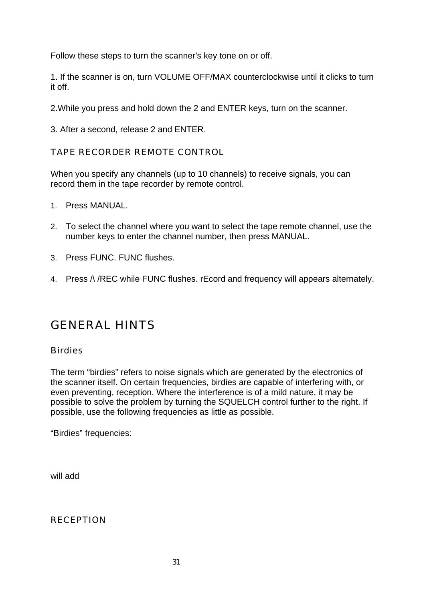Follow these steps to turn the scanner's key tone on or off.

1. If the scanner is on, turn VOLUME OFF/MAX counterclockwise until it clicks to turn it off.

2.While you press and hold down the 2 and ENTER keys, turn on the scanner.

3. After a second, release 2 and ENTER.

TAPE RECORDER REMOTE CONTROL

When you specify any channels (up to 10 channels) to receive signals, you can record them in the tape recorder by remote control.

- 1. Press MANUAL.
- 2. To select the channel where you want to select the tape remote channel, use the number keys to enter the channel number, then press MANUAL.
- 3. Press FUNC. FUNC flushes.
- 4. Press  $\Lambda$  /REC while FUNC flushes. rEcord and frequency will appears alternately.

# GENERAL HINTS

#### **Birdies**

The term "birdies" refers to noise signals which are generated by the electronics of the scanner itself. On certain frequencies, birdies are capable of interfering with, or even preventing, reception. Where the interference is of a mild nature, it may be possible to solve the problem by turning the SQUELCH control further to the right. If possible, use the following frequencies as little as possible.

"Birdies" frequencies:

will add

RECEPTION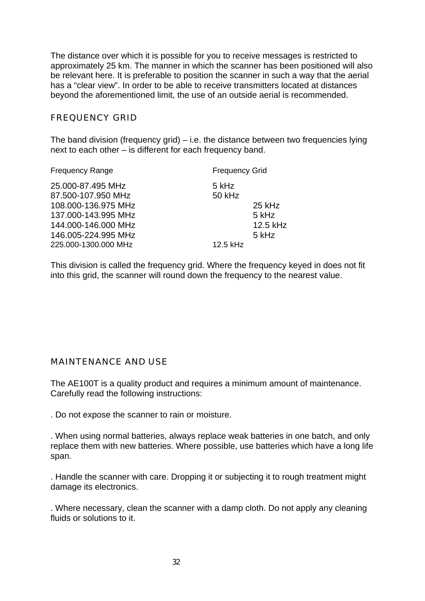The distance over which it is possible for you to receive messages is restricted to approximately 25 km. The manner in which the scanner has been positioned will also be relevant here. It is preferable to position the scanner in such a way that the aerial has a "clear view". In order to be able to receive transmitters located at distances beyond the aforementioned limit, the use of an outside aerial is recommended.

#### FREQUENCY GRID

The band division (frequency grid) – i.e. the distance between two frequencies lying next to each other – is different for each frequency band.

| <b>Frequency Range</b>                                                                                                                                      | <b>Frequency Grid</b>       |                                      |
|-------------------------------------------------------------------------------------------------------------------------------------------------------------|-----------------------------|--------------------------------------|
| 25.000-87.495 MHz<br>87.500-107.950 MHz<br>108.000-136.975 MHz<br>137.000-143.995 MHz<br>144.000-146.000 MHz<br>146.005-224.995 MHz<br>225.000-1300.000 MHz | 5 kHz<br>50 kHz<br>12.5 kHz | 25 kHz<br>5 kHz<br>12.5 kHz<br>5 kHz |
|                                                                                                                                                             |                             |                                      |

This division is called the frequency grid. Where the frequency keyed in does not fit into this grid, the scanner will round down the frequency to the nearest value.

#### MAINTENANCE AND USE

The AE100T is a quality product and requires a minimum amount of maintenance. Carefully read the following instructions:

. Do not expose the scanner to rain or moisture.

. When using normal batteries, always replace weak batteries in one batch, and only replace them with new batteries. Where possible, use batteries which have a long life span.

. Handle the scanner with care. Dropping it or subjecting it to rough treatment might damage its electronics.

. Where necessary, clean the scanner with a damp cloth. Do not apply any cleaning fluids or solutions to it.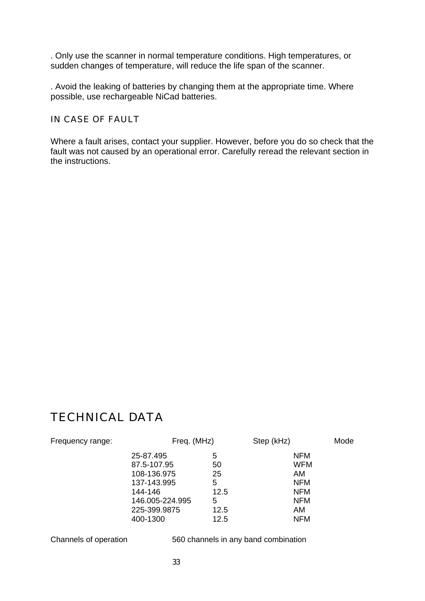. Only use the scanner in normal temperature conditions. High temperatures, or sudden changes of temperature, will reduce the life span of the scanner.

. Avoid the leaking of batteries by changing them at the appropriate time. Where possible, use rechargeable NiCad batteries.

IN CASE OF FAULT

Where a fault arises, contact your supplier. However, before you do so check that the fault was not caused by an operational error. Carefully reread the relevant section in the instructions.

# TECHNICAL DATA

| Frequency range: | Freq. (MHz)     |      | Step (kHz) | Mode |
|------------------|-----------------|------|------------|------|
|                  | 25-87.495       | 5    | <b>NFM</b> |      |
|                  | 87.5-107.95     | 50   | <b>WFM</b> |      |
|                  | 108-136.975     | 25   | AM.        |      |
|                  | 137-143.995     | 5    | <b>NFM</b> |      |
|                  | 144-146         | 12.5 | <b>NFM</b> |      |
|                  | 146.005-224.995 | 5    | <b>NFM</b> |      |
|                  | 225-399.9875    | 12.5 | AM         |      |
|                  | 400-1300        | 12.5 | <b>NFM</b> |      |

Channels of operation 560 channels in any band combination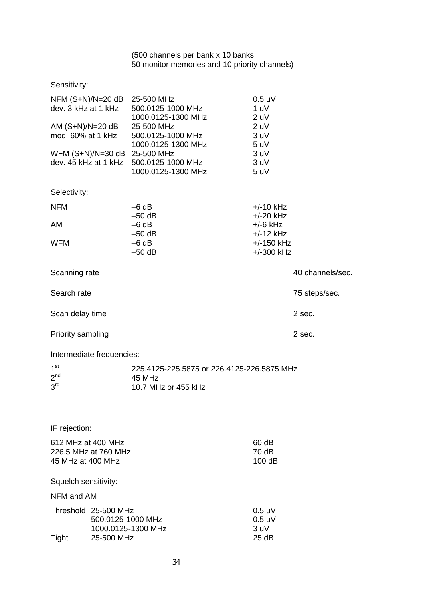#### (500 channels per bank x 10 banks, 50 monitor memories and 10 priority channels)

# Sensitivity:

|                      |                           | NFM (S+N)/N=20 dB 25-500 MHz<br>dev. 3 kHz at 1 kHz 500.0125-1000 MHz | $0.5$ uV<br>1 uV             |                  |
|----------------------|---------------------------|-----------------------------------------------------------------------|------------------------------|------------------|
|                      | AM (S+N)/N=20 dB          | 1000.0125-1300 MHz<br>25-500 MHz                                      | 2 uV<br>2 uV                 |                  |
|                      | mod. 60% at 1 kHz         | 500.0125-1000 MHz                                                     | 3 uV                         |                  |
|                      |                           | 1000.0125-1300 MHz                                                    | 5 uV                         |                  |
|                      |                           | WFM (S+N)/N=30 dB 25-500 MHz                                          | 3 uV                         |                  |
|                      |                           | dev. 45 kHz at 1 kHz 500.0125-1000 MHz                                | 3 uV                         |                  |
|                      |                           | 1000.0125-1300 MHz                                                    | 5 uV                         |                  |
| Selectivity:         |                           |                                                                       |                              |                  |
| <b>NFM</b>           |                           | $-6 dB$                                                               | $+/-10$ kHz                  |                  |
|                      |                           | $-50$ dB                                                              | $+/-20$ kHz                  |                  |
| AM                   |                           | $-6 dB$                                                               | $+/-6$ kHz                   |                  |
|                      |                           | $-50$ dB                                                              | $+/-12$ kHz                  |                  |
| <b>WFM</b>           |                           | $-6 dB$<br>$-50$ dB                                                   | $+/-150$ kHz<br>$+/-300$ kHz |                  |
|                      |                           |                                                                       |                              |                  |
| Scanning rate        |                           |                                                                       |                              | 40 channels/sec. |
| Search rate          |                           |                                                                       |                              | 75 steps/sec.    |
| Scan delay time      |                           |                                                                       |                              | 2 sec.           |
| Priority sampling    |                           |                                                                       |                              | 2 sec.           |
|                      | Intermediate frequencies: |                                                                       |                              |                  |
| 1 <sup>st</sup>      |                           | 225.4125-225.5875 or 226.4125-226.5875 MHz                            |                              |                  |
| 2 <sup>nd</sup>      |                           | 45 MHz                                                                |                              |                  |
| 3 <sup>rd</sup>      |                           | 10.7 MHz or 455 kHz                                                   |                              |                  |
|                      |                           |                                                                       |                              |                  |
| IF rejection:        |                           |                                                                       |                              |                  |
| 612 MHz at 400 MHz   |                           |                                                                       | 60 dB                        |                  |
| 226.5 MHz at 760 MHz |                           | 70 dB                                                                 |                              |                  |
| 45 MHz at 400 MHz    |                           |                                                                       | 100 dB                       |                  |
| Squelch sensitivity: |                           |                                                                       |                              |                  |
| NFM and AM           |                           |                                                                       |                              |                  |
|                      | Threshold 25-500 MHz      |                                                                       | $0.5$ uV                     |                  |
|                      | 500.0125-1000 MHz         |                                                                       | $0.5$ uV                     |                  |
|                      |                           | 1000.0125-1300 MHz                                                    | 3 uV                         |                  |
| Tight                | 25-500 MHz                |                                                                       | 25dB                         |                  |